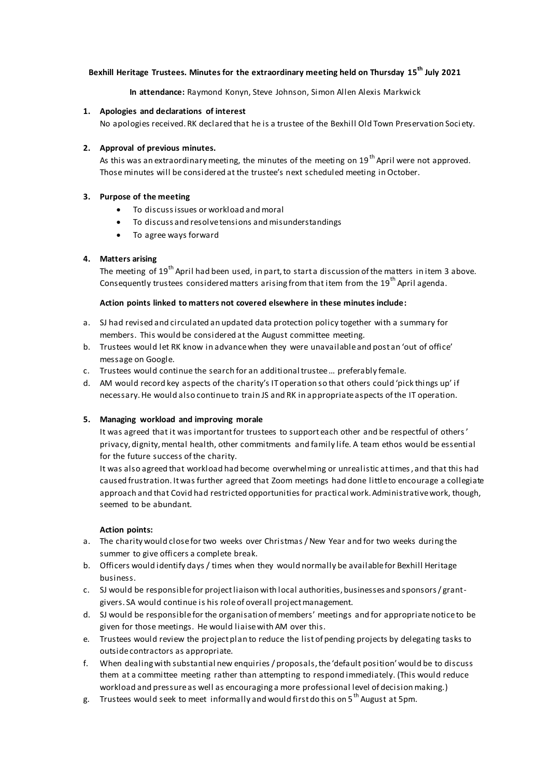# **Bexhill Heritage Trustees. Minutes for the extraordinary meeting held on Thursday 15th July 2021**

**In attendance:** Raymond Konyn, Steve Johnson, Simon Allen Alexis Markwick

## **1. Apologies and declarations of interest**

No apologies received.RK declared that he is a trustee of the Bexhill Old Town Preservation Soci ety.

# **2. Approval of previous minutes.**

As this was an extraordinary meeting, the minutes of the meeting on 19<sup>th</sup> April were not approved. Those minutes will be considered at the trustee's next scheduled meeting in October.

# **3. Purpose of the meeting**

- To discuss issues or workload and moral
- To discuss and resolve tensions and misunderstandings
- To agree ways forward

# **4. Matters arising**

The meeting of 19<sup>th</sup> April had been used, in part, to start a discussion of the matters in item 3 above. Consequently trustees considered matters arising from that item from the  $19<sup>th</sup>$  April agenda.

### **Action points linked to matters not covered elsewhere in these minutes include:**

- a. SJ had revised and circulated an updated data protection policy together with a summary for members. This would be considered at the August committee meeting.
- b. Trustees would let RK know in advance when they were unavailable and post an 'out of office' message on Google.
- c. Trustees would continue the search for an additional trustee … preferably female.
- d. AM would record key aspects of the charity's IT operation so that others could 'pick things up' if necessary. He would also continue to train JS and RK in appropriate aspects of the IT operation.

### **5. Managing workload and improving morale**

It was agreed that it was important for trustees to support each other and be respectful of others' privacy, dignity, mental health, other commitments and family life. A team ethos would be essential for the future success of the charity.

It was also agreed that workload had become overwhelming or unrealistic at times, and that this had caused frustration. It was further agreed that Zoom meetings had done little to encourage a collegiate approach and that Covid had restricted opportunities for practical work. Administrative work, though, seemed to be abundant.

### **Action points:**

- a. The charity would close for two weeks over Christmas / New Year and for two weeks during the summer to give officers a complete break.
- b. Officers would identify days / times when they would normally be available for Bexhill Heritage business.
- c. SJ would be responsible for project liaison with local authorities, businesses and sponsors / grantgivers. SA would continue is his role of overall project management.
- d. SJ would be responsible for the organisation of members' meetings and for appropriate notice to be given for those meetings. He would liaise with AM over this.
- e. Trustees would review the project plan to reduce the list of pending projects by delegating tasks to outside contractors as appropriate.
- f. When dealing with substantial new enquiries / proposals, the 'default position' would be to discuss them at a committee meeting rather than attempting to respond immediately. (This would reduce workload and pressure as well as encouraging a more professional level of decision making.)
- g. Trustees would seek to meet informally and would first do this on 5<sup>th</sup> August at 5pm.